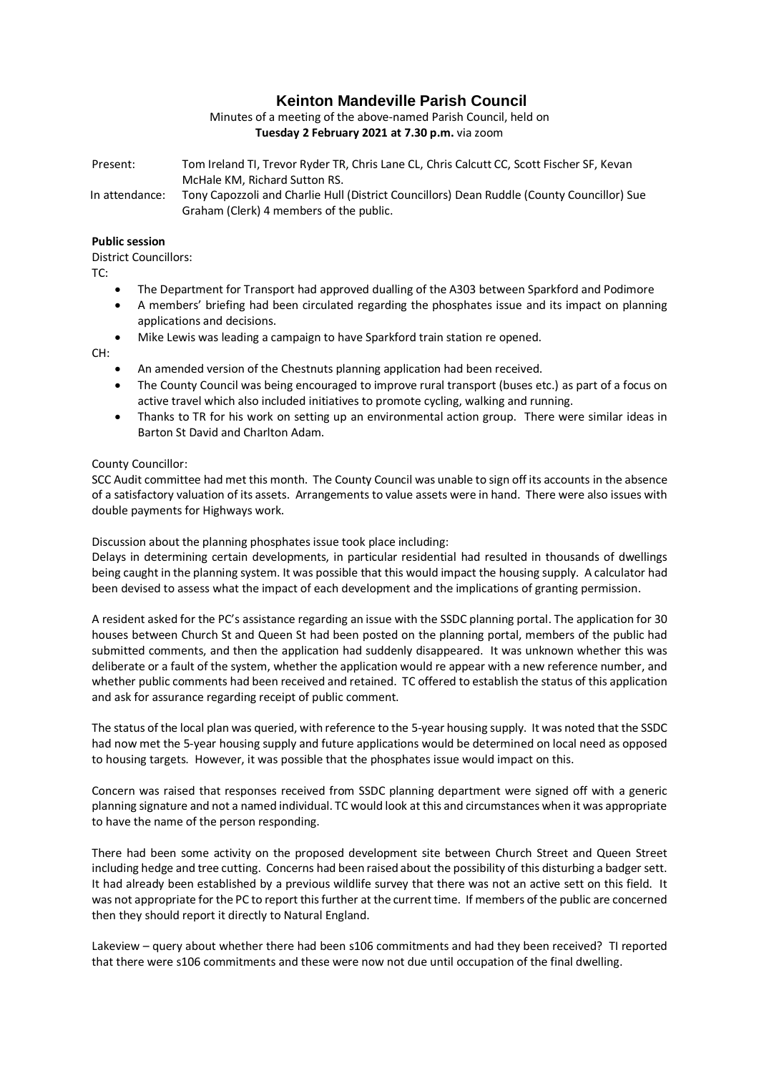## **Keinton Mandeville Parish Council**

## Minutes of a meeting of the above-named Parish Council, held on **Tuesday 2 February 2021 at 7.30 p.m.** via zoom

Present: Tom Ireland TI, Trevor Ryder TR, Chris Lane CL, Chris Calcutt CC, Scott Fischer SF, Kevan McHale KM, Richard Sutton RS.

In attendance: Tony Capozzoli and Charlie Hull (District Councillors) Dean Ruddle (County Councillor) Sue Graham (Clerk) 4 members of the public.

## **Public session**

District Councillors:

TC:

- The Department for Transport had approved dualling of the A303 between Sparkford and Podimore
- A members' briefing had been circulated regarding the phosphates issue and its impact on planning applications and decisions.
- Mike Lewis was leading a campaign to have Sparkford train station re opened.

CH:

- An amended version of the Chestnuts planning application had been received.
- The County Council was being encouraged to improve rural transport (buses etc.) as part of a focus on active travel which also included initiatives to promote cycling, walking and running.
- Thanks to TR for his work on setting up an environmental action group. There were similar ideas in Barton St David and Charlton Adam.

## County Councillor:

SCC Audit committee had met this month. The County Council was unable to sign off its accounts in the absence of a satisfactory valuation of its assets. Arrangements to value assets were in hand. There were also issues with double payments for Highways work.

Discussion about the planning phosphates issue took place including:

Delays in determining certain developments, in particular residential had resulted in thousands of dwellings being caught in the planning system. It was possible that this would impact the housing supply. A calculator had been devised to assess what the impact of each development and the implications of granting permission.

A resident asked for the PC's assistance regarding an issue with the SSDC planning portal. The application for 30 houses between Church St and Queen St had been posted on the planning portal, members of the public had submitted comments, and then the application had suddenly disappeared. It was unknown whether this was deliberate or a fault of the system, whether the application would re appear with a new reference number, and whether public comments had been received and retained. TC offered to establish the status of this application and ask for assurance regarding receipt of public comment.

The status of the local plan was queried, with reference to the 5-year housing supply. It was noted that the SSDC had now met the 5-year housing supply and future applications would be determined on local need as opposed to housing targets. However, it was possible that the phosphates issue would impact on this.

Concern was raised that responses received from SSDC planning department were signed off with a generic planning signature and not a named individual. TC would look at this and circumstances when it was appropriate to have the name of the person responding.

There had been some activity on the proposed development site between Church Street and Queen Street including hedge and tree cutting. Concerns had been raised about the possibility of this disturbing a badger sett. It had already been established by a previous wildlife survey that there was not an active sett on this field. It was not appropriate for the PC to report this further at the current time. If members of the public are concerned then they should report it directly to Natural England.

Lakeview – query about whether there had been s106 commitments and had they been received? TI reported that there were s106 commitments and these were now not due until occupation of the final dwelling.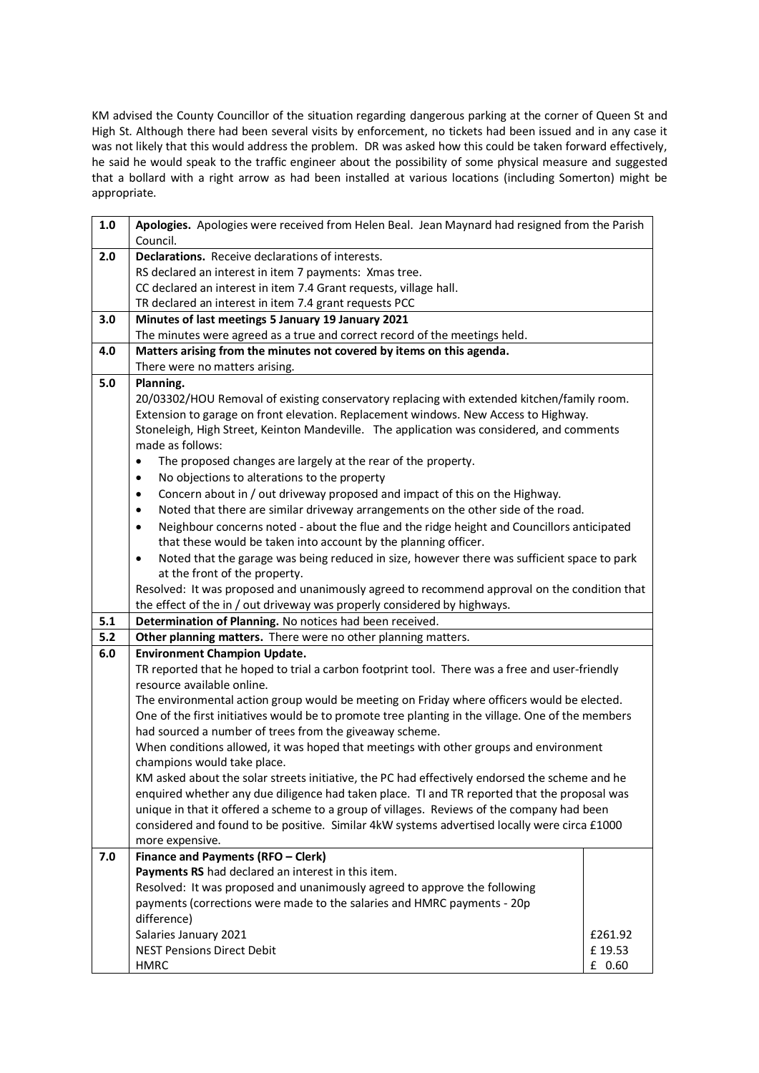KM advised the County Councillor of the situation regarding dangerous parking at the corner of Queen St and High St. Although there had been several visits by enforcement, no tickets had been issued and in any case it was not likely that this would address the problem. DR was asked how this could be taken forward effectively, he said he would speak to the traffic engineer about the possibility of some physical measure and suggested that a bollard with a right arrow as had been installed at various locations (including Somerton) might be appropriate.

|                            | Apologies. Apologies were received from Helen Beal. Jean Maynard had resigned from the Parish<br>Council.                                                                                                                                                                                                                                                                                                                                                                                                                                                                                                                                                                                                                                                                                                                                                                                                                                                                                                                                                                                                                                                                                                                                                                                                                                                                                                                                                                                                                                                                                                                                                                                                                                                                                |                   |
|----------------------------|------------------------------------------------------------------------------------------------------------------------------------------------------------------------------------------------------------------------------------------------------------------------------------------------------------------------------------------------------------------------------------------------------------------------------------------------------------------------------------------------------------------------------------------------------------------------------------------------------------------------------------------------------------------------------------------------------------------------------------------------------------------------------------------------------------------------------------------------------------------------------------------------------------------------------------------------------------------------------------------------------------------------------------------------------------------------------------------------------------------------------------------------------------------------------------------------------------------------------------------------------------------------------------------------------------------------------------------------------------------------------------------------------------------------------------------------------------------------------------------------------------------------------------------------------------------------------------------------------------------------------------------------------------------------------------------------------------------------------------------------------------------------------------------|-------------------|
| 2.0                        | Declarations. Receive declarations of interests.                                                                                                                                                                                                                                                                                                                                                                                                                                                                                                                                                                                                                                                                                                                                                                                                                                                                                                                                                                                                                                                                                                                                                                                                                                                                                                                                                                                                                                                                                                                                                                                                                                                                                                                                         |                   |
|                            | RS declared an interest in item 7 payments: Xmas tree.                                                                                                                                                                                                                                                                                                                                                                                                                                                                                                                                                                                                                                                                                                                                                                                                                                                                                                                                                                                                                                                                                                                                                                                                                                                                                                                                                                                                                                                                                                                                                                                                                                                                                                                                   |                   |
|                            | CC declared an interest in item 7.4 Grant requests, village hall.                                                                                                                                                                                                                                                                                                                                                                                                                                                                                                                                                                                                                                                                                                                                                                                                                                                                                                                                                                                                                                                                                                                                                                                                                                                                                                                                                                                                                                                                                                                                                                                                                                                                                                                        |                   |
|                            | TR declared an interest in item 7.4 grant requests PCC                                                                                                                                                                                                                                                                                                                                                                                                                                                                                                                                                                                                                                                                                                                                                                                                                                                                                                                                                                                                                                                                                                                                                                                                                                                                                                                                                                                                                                                                                                                                                                                                                                                                                                                                   |                   |
| 3.0                        | Minutes of last meetings 5 January 19 January 2021                                                                                                                                                                                                                                                                                                                                                                                                                                                                                                                                                                                                                                                                                                                                                                                                                                                                                                                                                                                                                                                                                                                                                                                                                                                                                                                                                                                                                                                                                                                                                                                                                                                                                                                                       |                   |
|                            | The minutes were agreed as a true and correct record of the meetings held.                                                                                                                                                                                                                                                                                                                                                                                                                                                                                                                                                                                                                                                                                                                                                                                                                                                                                                                                                                                                                                                                                                                                                                                                                                                                                                                                                                                                                                                                                                                                                                                                                                                                                                               |                   |
| 4.0                        | Matters arising from the minutes not covered by items on this agenda.                                                                                                                                                                                                                                                                                                                                                                                                                                                                                                                                                                                                                                                                                                                                                                                                                                                                                                                                                                                                                                                                                                                                                                                                                                                                                                                                                                                                                                                                                                                                                                                                                                                                                                                    |                   |
|                            | There were no matters arising.                                                                                                                                                                                                                                                                                                                                                                                                                                                                                                                                                                                                                                                                                                                                                                                                                                                                                                                                                                                                                                                                                                                                                                                                                                                                                                                                                                                                                                                                                                                                                                                                                                                                                                                                                           |                   |
| 5.0                        | Planning.                                                                                                                                                                                                                                                                                                                                                                                                                                                                                                                                                                                                                                                                                                                                                                                                                                                                                                                                                                                                                                                                                                                                                                                                                                                                                                                                                                                                                                                                                                                                                                                                                                                                                                                                                                                |                   |
|                            | 20/03302/HOU Removal of existing conservatory replacing with extended kitchen/family room.                                                                                                                                                                                                                                                                                                                                                                                                                                                                                                                                                                                                                                                                                                                                                                                                                                                                                                                                                                                                                                                                                                                                                                                                                                                                                                                                                                                                                                                                                                                                                                                                                                                                                               |                   |
|                            | Extension to garage on front elevation. Replacement windows. New Access to Highway.                                                                                                                                                                                                                                                                                                                                                                                                                                                                                                                                                                                                                                                                                                                                                                                                                                                                                                                                                                                                                                                                                                                                                                                                                                                                                                                                                                                                                                                                                                                                                                                                                                                                                                      |                   |
|                            | Stoneleigh, High Street, Keinton Mandeville. The application was considered, and comments                                                                                                                                                                                                                                                                                                                                                                                                                                                                                                                                                                                                                                                                                                                                                                                                                                                                                                                                                                                                                                                                                                                                                                                                                                                                                                                                                                                                                                                                                                                                                                                                                                                                                                |                   |
|                            | made as follows:                                                                                                                                                                                                                                                                                                                                                                                                                                                                                                                                                                                                                                                                                                                                                                                                                                                                                                                                                                                                                                                                                                                                                                                                                                                                                                                                                                                                                                                                                                                                                                                                                                                                                                                                                                         |                   |
|                            | The proposed changes are largely at the rear of the property.<br>$\bullet$                                                                                                                                                                                                                                                                                                                                                                                                                                                                                                                                                                                                                                                                                                                                                                                                                                                                                                                                                                                                                                                                                                                                                                                                                                                                                                                                                                                                                                                                                                                                                                                                                                                                                                               |                   |
|                            |                                                                                                                                                                                                                                                                                                                                                                                                                                                                                                                                                                                                                                                                                                                                                                                                                                                                                                                                                                                                                                                                                                                                                                                                                                                                                                                                                                                                                                                                                                                                                                                                                                                                                                                                                                                          |                   |
|                            |                                                                                                                                                                                                                                                                                                                                                                                                                                                                                                                                                                                                                                                                                                                                                                                                                                                                                                                                                                                                                                                                                                                                                                                                                                                                                                                                                                                                                                                                                                                                                                                                                                                                                                                                                                                          |                   |
|                            |                                                                                                                                                                                                                                                                                                                                                                                                                                                                                                                                                                                                                                                                                                                                                                                                                                                                                                                                                                                                                                                                                                                                                                                                                                                                                                                                                                                                                                                                                                                                                                                                                                                                                                                                                                                          |                   |
|                            |                                                                                                                                                                                                                                                                                                                                                                                                                                                                                                                                                                                                                                                                                                                                                                                                                                                                                                                                                                                                                                                                                                                                                                                                                                                                                                                                                                                                                                                                                                                                                                                                                                                                                                                                                                                          |                   |
|                            |                                                                                                                                                                                                                                                                                                                                                                                                                                                                                                                                                                                                                                                                                                                                                                                                                                                                                                                                                                                                                                                                                                                                                                                                                                                                                                                                                                                                                                                                                                                                                                                                                                                                                                                                                                                          |                   |
|                            |                                                                                                                                                                                                                                                                                                                                                                                                                                                                                                                                                                                                                                                                                                                                                                                                                                                                                                                                                                                                                                                                                                                                                                                                                                                                                                                                                                                                                                                                                                                                                                                                                                                                                                                                                                                          |                   |
|                            |                                                                                                                                                                                                                                                                                                                                                                                                                                                                                                                                                                                                                                                                                                                                                                                                                                                                                                                                                                                                                                                                                                                                                                                                                                                                                                                                                                                                                                                                                                                                                                                                                                                                                                                                                                                          |                   |
|                            |                                                                                                                                                                                                                                                                                                                                                                                                                                                                                                                                                                                                                                                                                                                                                                                                                                                                                                                                                                                                                                                                                                                                                                                                                                                                                                                                                                                                                                                                                                                                                                                                                                                                                                                                                                                          |                   |
|                            |                                                                                                                                                                                                                                                                                                                                                                                                                                                                                                                                                                                                                                                                                                                                                                                                                                                                                                                                                                                                                                                                                                                                                                                                                                                                                                                                                                                                                                                                                                                                                                                                                                                                                                                                                                                          |                   |
|                            |                                                                                                                                                                                                                                                                                                                                                                                                                                                                                                                                                                                                                                                                                                                                                                                                                                                                                                                                                                                                                                                                                                                                                                                                                                                                                                                                                                                                                                                                                                                                                                                                                                                                                                                                                                                          |                   |
|                            |                                                                                                                                                                                                                                                                                                                                                                                                                                                                                                                                                                                                                                                                                                                                                                                                                                                                                                                                                                                                                                                                                                                                                                                                                                                                                                                                                                                                                                                                                                                                                                                                                                                                                                                                                                                          |                   |
|                            |                                                                                                                                                                                                                                                                                                                                                                                                                                                                                                                                                                                                                                                                                                                                                                                                                                                                                                                                                                                                                                                                                                                                                                                                                                                                                                                                                                                                                                                                                                                                                                                                                                                                                                                                                                                          |                   |
|                            | resource available online.                                                                                                                                                                                                                                                                                                                                                                                                                                                                                                                                                                                                                                                                                                                                                                                                                                                                                                                                                                                                                                                                                                                                                                                                                                                                                                                                                                                                                                                                                                                                                                                                                                                                                                                                                               |                   |
|                            | The environmental action group would be meeting on Friday where officers would be elected.                                                                                                                                                                                                                                                                                                                                                                                                                                                                                                                                                                                                                                                                                                                                                                                                                                                                                                                                                                                                                                                                                                                                                                                                                                                                                                                                                                                                                                                                                                                                                                                                                                                                                               |                   |
|                            | One of the first initiatives would be to promote tree planting in the village. One of the members                                                                                                                                                                                                                                                                                                                                                                                                                                                                                                                                                                                                                                                                                                                                                                                                                                                                                                                                                                                                                                                                                                                                                                                                                                                                                                                                                                                                                                                                                                                                                                                                                                                                                        |                   |
|                            | had sourced a number of trees from the giveaway scheme.                                                                                                                                                                                                                                                                                                                                                                                                                                                                                                                                                                                                                                                                                                                                                                                                                                                                                                                                                                                                                                                                                                                                                                                                                                                                                                                                                                                                                                                                                                                                                                                                                                                                                                                                  |                   |
|                            | When conditions allowed, it was hoped that meetings with other groups and environment                                                                                                                                                                                                                                                                                                                                                                                                                                                                                                                                                                                                                                                                                                                                                                                                                                                                                                                                                                                                                                                                                                                                                                                                                                                                                                                                                                                                                                                                                                                                                                                                                                                                                                    |                   |
|                            | champions would take place.                                                                                                                                                                                                                                                                                                                                                                                                                                                                                                                                                                                                                                                                                                                                                                                                                                                                                                                                                                                                                                                                                                                                                                                                                                                                                                                                                                                                                                                                                                                                                                                                                                                                                                                                                              |                   |
|                            |                                                                                                                                                                                                                                                                                                                                                                                                                                                                                                                                                                                                                                                                                                                                                                                                                                                                                                                                                                                                                                                                                                                                                                                                                                                                                                                                                                                                                                                                                                                                                                                                                                                                                                                                                                                          |                   |
|                            |                                                                                                                                                                                                                                                                                                                                                                                                                                                                                                                                                                                                                                                                                                                                                                                                                                                                                                                                                                                                                                                                                                                                                                                                                                                                                                                                                                                                                                                                                                                                                                                                                                                                                                                                                                                          |                   |
|                            |                                                                                                                                                                                                                                                                                                                                                                                                                                                                                                                                                                                                                                                                                                                                                                                                                                                                                                                                                                                                                                                                                                                                                                                                                                                                                                                                                                                                                                                                                                                                                                                                                                                                                                                                                                                          |                   |
|                            |                                                                                                                                                                                                                                                                                                                                                                                                                                                                                                                                                                                                                                                                                                                                                                                                                                                                                                                                                                                                                                                                                                                                                                                                                                                                                                                                                                                                                                                                                                                                                                                                                                                                                                                                                                                          |                   |
|                            |                                                                                                                                                                                                                                                                                                                                                                                                                                                                                                                                                                                                                                                                                                                                                                                                                                                                                                                                                                                                                                                                                                                                                                                                                                                                                                                                                                                                                                                                                                                                                                                                                                                                                                                                                                                          |                   |
|                            |                                                                                                                                                                                                                                                                                                                                                                                                                                                                                                                                                                                                                                                                                                                                                                                                                                                                                                                                                                                                                                                                                                                                                                                                                                                                                                                                                                                                                                                                                                                                                                                                                                                                                                                                                                                          |                   |
|                            |                                                                                                                                                                                                                                                                                                                                                                                                                                                                                                                                                                                                                                                                                                                                                                                                                                                                                                                                                                                                                                                                                                                                                                                                                                                                                                                                                                                                                                                                                                                                                                                                                                                                                                                                                                                          |                   |
|                            |                                                                                                                                                                                                                                                                                                                                                                                                                                                                                                                                                                                                                                                                                                                                                                                                                                                                                                                                                                                                                                                                                                                                                                                                                                                                                                                                                                                                                                                                                                                                                                                                                                                                                                                                                                                          |                   |
|                            |                                                                                                                                                                                                                                                                                                                                                                                                                                                                                                                                                                                                                                                                                                                                                                                                                                                                                                                                                                                                                                                                                                                                                                                                                                                                                                                                                                                                                                                                                                                                                                                                                                                                                                                                                                                          |                   |
|                            |                                                                                                                                                                                                                                                                                                                                                                                                                                                                                                                                                                                                                                                                                                                                                                                                                                                                                                                                                                                                                                                                                                                                                                                                                                                                                                                                                                                                                                                                                                                                                                                                                                                                                                                                                                                          |                   |
|                            |                                                                                                                                                                                                                                                                                                                                                                                                                                                                                                                                                                                                                                                                                                                                                                                                                                                                                                                                                                                                                                                                                                                                                                                                                                                                                                                                                                                                                                                                                                                                                                                                                                                                                                                                                                                          |                   |
|                            |                                                                                                                                                                                                                                                                                                                                                                                                                                                                                                                                                                                                                                                                                                                                                                                                                                                                                                                                                                                                                                                                                                                                                                                                                                                                                                                                                                                                                                                                                                                                                                                                                                                                                                                                                                                          |                   |
| 5.1<br>$5.2$<br>6.0<br>7.0 | No objections to alterations to the property<br>$\bullet$<br>Concern about in / out driveway proposed and impact of this on the Highway.<br>$\bullet$<br>Noted that there are similar driveway arrangements on the other side of the road.<br>$\bullet$<br>Neighbour concerns noted - about the flue and the ridge height and Councillors anticipated<br>$\bullet$<br>that these would be taken into account by the planning officer.<br>Noted that the garage was being reduced in size, however there was sufficient space to park<br>$\bullet$<br>at the front of the property.<br>Resolved: It was proposed and unanimously agreed to recommend approval on the condition that<br>the effect of the in / out driveway was properly considered by highways.<br>Determination of Planning. No notices had been received.<br>Other planning matters. There were no other planning matters.<br><b>Environment Champion Update.</b><br>TR reported that he hoped to trial a carbon footprint tool. There was a free and user-friendly<br>KM asked about the solar streets initiative, the PC had effectively endorsed the scheme and he<br>enquired whether any due diligence had taken place. TI and TR reported that the proposal was<br>unique in that it offered a scheme to a group of villages. Reviews of the company had been<br>considered and found to be positive. Similar 4kW systems advertised locally were circa £1000<br>more expensive.<br>Finance and Payments (RFO - Clerk)<br>Payments RS had declared an interest in this item.<br>Resolved: It was proposed and unanimously agreed to approve the following<br>payments (corrections were made to the salaries and HMRC payments - 20p<br>difference)<br>Salaries January 2021<br><b>NEST Pensions Direct Debit</b> | £261.92<br>£19.53 |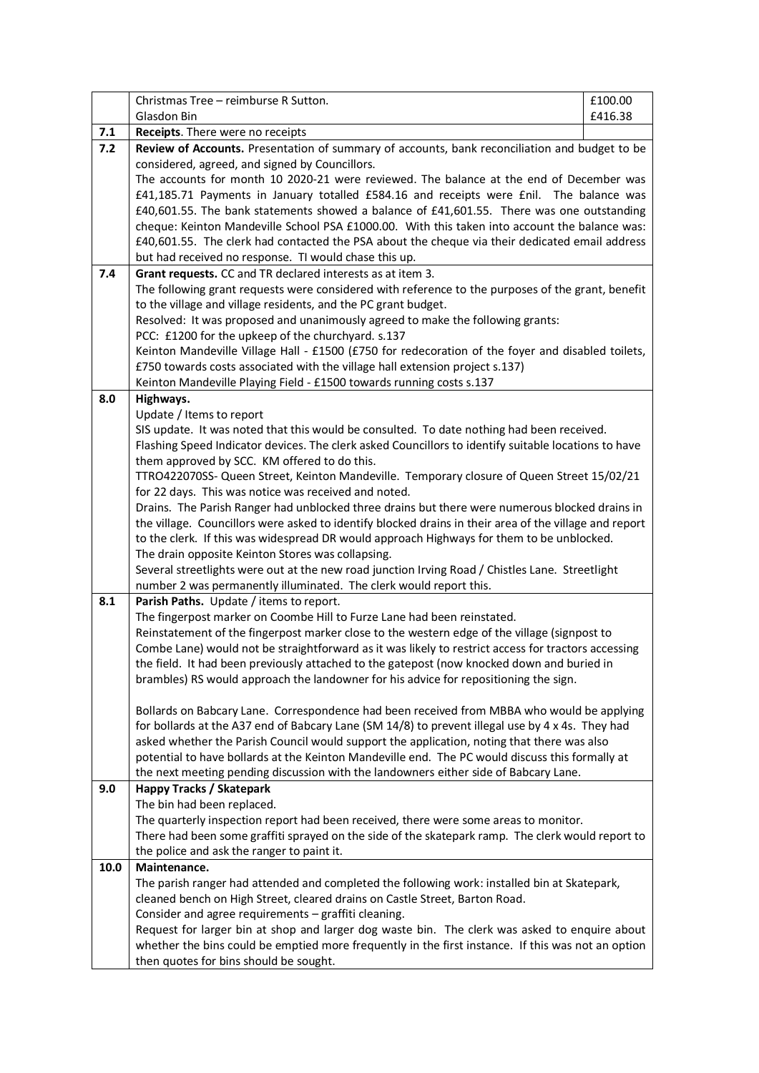|      | Christmas Tree - reimburse R Sutton.                                                                                                                                              | £100.00 |
|------|-----------------------------------------------------------------------------------------------------------------------------------------------------------------------------------|---------|
|      | Glasdon Bin                                                                                                                                                                       | £416.38 |
| 7.1  | Receipts. There were no receipts                                                                                                                                                  |         |
| 7.2  | Review of Accounts. Presentation of summary of accounts, bank reconciliation and budget to be                                                                                     |         |
|      | considered, agreed, and signed by Councillors.                                                                                                                                    |         |
|      | The accounts for month 10 2020-21 were reviewed. The balance at the end of December was                                                                                           |         |
|      | £41,185.71 Payments in January totalled £584.16 and receipts were £nil. The balance was                                                                                           |         |
|      | £40,601.55. The bank statements showed a balance of £41,601.55. There was one outstanding                                                                                         |         |
|      | cheque: Keinton Mandeville School PSA £1000.00. With this taken into account the balance was:                                                                                     |         |
|      | £40,601.55. The clerk had contacted the PSA about the cheque via their dedicated email address                                                                                    |         |
|      | but had received no response. TI would chase this up.                                                                                                                             |         |
| 7.4  | Grant requests. CC and TR declared interests as at item 3.                                                                                                                        |         |
|      | The following grant requests were considered with reference to the purposes of the grant, benefit                                                                                 |         |
|      | to the village and village residents, and the PC grant budget.                                                                                                                    |         |
|      | Resolved: It was proposed and unanimously agreed to make the following grants:                                                                                                    |         |
|      | PCC: £1200 for the upkeep of the churchyard. s.137                                                                                                                                |         |
|      | Keinton Mandeville Village Hall - £1500 (£750 for redecoration of the foyer and disabled toilets,<br>£750 towards costs associated with the village hall extension project s.137) |         |
|      | Keinton Mandeville Playing Field - £1500 towards running costs s.137                                                                                                              |         |
| 8.0  | Highways.                                                                                                                                                                         |         |
|      | Update / Items to report                                                                                                                                                          |         |
|      | SIS update. It was noted that this would be consulted. To date nothing had been received.                                                                                         |         |
|      | Flashing Speed Indicator devices. The clerk asked Councillors to identify suitable locations to have                                                                              |         |
|      | them approved by SCC. KM offered to do this.                                                                                                                                      |         |
|      | TTRO422070SS- Queen Street, Keinton Mandeville. Temporary closure of Queen Street 15/02/21                                                                                        |         |
|      | for 22 days. This was notice was received and noted.                                                                                                                              |         |
|      | Drains. The Parish Ranger had unblocked three drains but there were numerous blocked drains in                                                                                    |         |
|      | the village. Councillors were asked to identify blocked drains in their area of the village and report                                                                            |         |
|      | to the clerk. If this was widespread DR would approach Highways for them to be unblocked.                                                                                         |         |
|      | The drain opposite Keinton Stores was collapsing.                                                                                                                                 |         |
|      | Several streetlights were out at the new road junction Irving Road / Chistles Lane. Streetlight                                                                                   |         |
|      | number 2 was permanently illuminated. The clerk would report this.                                                                                                                |         |
| 8.1  | Parish Paths. Update / items to report.                                                                                                                                           |         |
|      | The fingerpost marker on Coombe Hill to Furze Lane had been reinstated.                                                                                                           |         |
|      | Reinstatement of the fingerpost marker close to the western edge of the village (signpost to                                                                                      |         |
|      | Combe Lane) would not be straightforward as it was likely to restrict access for tractors accessing                                                                               |         |
|      | the field. It had been previously attached to the gatepost (now knocked down and buried in                                                                                        |         |
|      | brambles) RS would approach the landowner for his advice for repositioning the sign.                                                                                              |         |
|      | Bollards on Babcary Lane. Correspondence had been received from MBBA who would be applying                                                                                        |         |
|      | for bollards at the A37 end of Babcary Lane (SM 14/8) to prevent illegal use by 4 x 4s. They had                                                                                  |         |
|      | asked whether the Parish Council would support the application, noting that there was also                                                                                        |         |
|      | potential to have bollards at the Keinton Mandeville end. The PC would discuss this formally at                                                                                   |         |
|      | the next meeting pending discussion with the landowners either side of Babcary Lane.                                                                                              |         |
| 9.0  | <b>Happy Tracks / Skatepark</b>                                                                                                                                                   |         |
|      | The bin had been replaced.                                                                                                                                                        |         |
|      | The quarterly inspection report had been received, there were some areas to monitor.                                                                                              |         |
|      | There had been some graffiti sprayed on the side of the skatepark ramp. The clerk would report to                                                                                 |         |
|      | the police and ask the ranger to paint it.                                                                                                                                        |         |
| 10.0 | Maintenance.                                                                                                                                                                      |         |
|      | The parish ranger had attended and completed the following work: installed bin at Skatepark,                                                                                      |         |
|      | cleaned bench on High Street, cleared drains on Castle Street, Barton Road.                                                                                                       |         |
|      | Consider and agree requirements - graffiti cleaning.                                                                                                                              |         |
|      | Request for larger bin at shop and larger dog waste bin. The clerk was asked to enquire about                                                                                     |         |
|      | whether the bins could be emptied more frequently in the first instance. If this was not an option                                                                                |         |
|      | then quotes for bins should be sought.                                                                                                                                            |         |